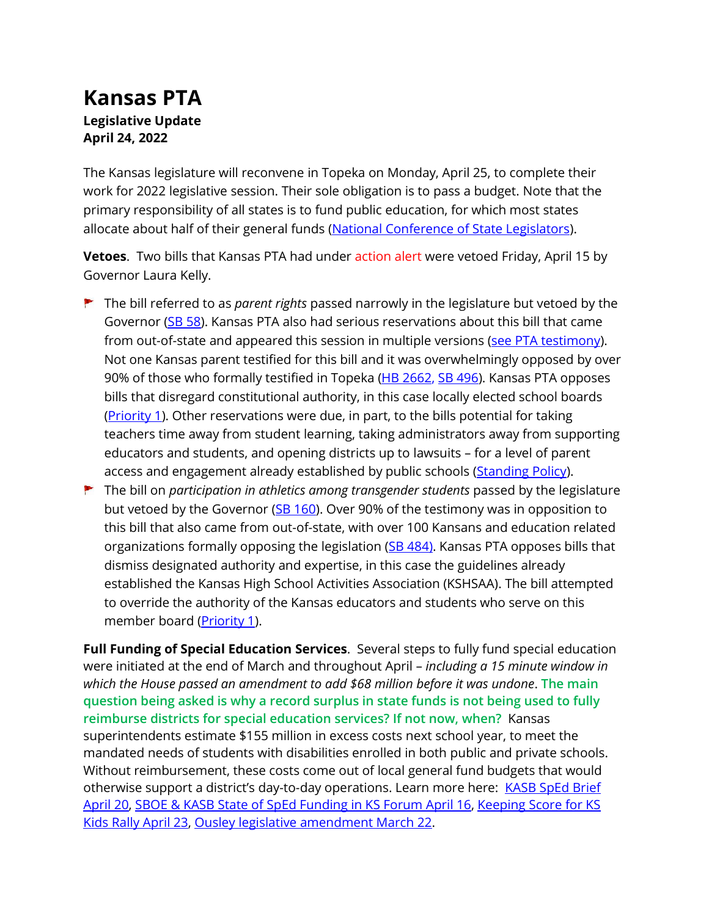## **Kansas PTA Legislative Update April 24, 2022**

The Kansas legislature will reconvene in Topeka on Monday, April 25, to complete their work for 2022 legislative session. Their sole obligation is to pass a budget. Note that the primary responsibility of all states is to fund public education, for which most states allocate about half of their general funds [\(National Conference of State Legislators\)](National%20Conference%20of%20State%20Legislators).

**Vetoes**. Two bills that Kansas PTA had under action alert were vetoed Friday, April 15 by Governor Laura Kelly.

- The bill referred to as *parent rights* passed narrowly in the legislature but vetoed by the Governor [\(SB 58\)](http://www.kslegislature.org/li/b2021_22/measures/sb58/). Kansas PTA also had serious reservations about this bill that came from out-of-state and appeared this session in multiple versions [\(see PTA testimony\)](https://kansas-pta.org/wp-content/uploads/2022/02/KSPTA-TestimonyHsK12BdgtParentsFeb2022HB2662.pdf). Not one Kansas parent testified for this bill and it was overwhelmingly opposed by over 90% of those who formally testified in Topeka [\(HB 2662,](http://www.kslegislature.org/li/b2021_22/measures/HB2662/testimony) [SB 496\)](http://www.kslegislature.org/li/b2021_22/measures/sb496/). Kansas PTA opposes bills that disregard constitutional authority, in this case locally elected school boards [\(Priority 1\)](https://kansas-pta.org/advocacy/legislative-priorities/). Other reservations were due, in part, to the bills potential for taking teachers time away from student learning, taking administrators away from supporting educators and students, and opening districts up to lawsuits – for a level of parent access and engagement already established by public schools [\(Standing Policy\)](https://kansas-pta.org/advocacy/standing-policy-positions/).
- The bill on *participation in athletics among transgender students* passed by the legislature but vetoed by the Governor [\(SB 160\)](http://www.kslegislature.org/li/b2021_22/measures/sb160/). Over 90% of the testimony was in opposition to this bill that also came from out-of-state, with over 100 Kansans and education related organizations formally opposing the legislation [\(SB 484\)](http://www.kslegislature.org/li/b2021_22/committees/ctte_s_ed_1/committee_testimony/?selected_date=03%2F07%2F2022). Kansas PTA opposes bills that dismiss designated authority and expertise, in this case the guidelines already established the Kansas High School Activities Association (KSHSAA). The bill attempted to override the authority of the Kansas educators and students who serve on this member board (*Priority 1*).

**Full Funding of Special Education Services**. Several steps to fully fund special education were initiated at the end of March and throughout April – *including a 15 minute window in which the House passed an amendment to add \$68 million before it was undone*. **The main question being asked is why a record surplus in state funds is not being used to fully reimburse districts for special education services? If not now, when?** Kansas superintendents estimate \$155 million in excess costs next school year, to meet the mandated needs of students with disabilities enrolled in both public and private schools. Without reimbursement, these costs come out of local general fund budgets that would otherwise support a district's day-to-day operations. Learn more here: [KASB SpEd Brief](https://www.kasb.org/45132?articleID=105350) [April 20,](https://www.kasb.org/45132?articleID=105350) [SBOE & KASB State of SpEd](https://www.youtube.com/watch?v=zpqWO_WtfKM) Funding in KS Forum April 16, [Keeping Score for KS](https://fb.watch/cBs7ksB8IF/)  [Kids Rally April 23,](https://fb.watch/cBs7ksB8IF/) Ousley [legislative amendment March 22.](http://www.kslegislature.org/li/b2021_22/measures/vote_view/je_20220322140412_877215/)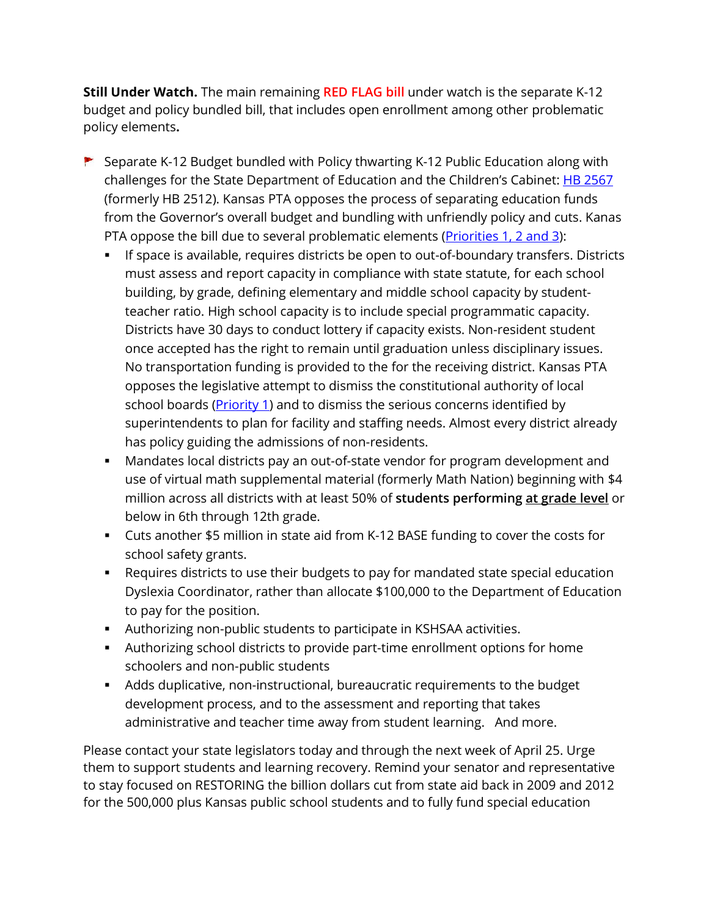**Still Under Watch.** The main remaining **RED FLAG bill** under watch is the separate K-12 budget and policy bundled bill, that includes open enrollment among other problematic policy elements**.** 

- ▶ Separate K-12 Budget bundled with Policy thwarting K-12 Public Education along with challenges for the State Department of Education and the Children's Cabinet: **[HB 2567](http://www.kslegislature.org/li/b2021_22/measures/hb2567/)** (formerly [HB 2512\)](http://www.kslegislature.org/li/b2021_22/measures/hb2512/). Kansas PTA opposes the process of separating education funds from the Governor's overall budget and bundling with unfriendly policy and cuts. Kanas PTA oppose the bill due to several problematic elements (Priorities [1, 2 and 3\)](https://kansas-pta.org/advocacy/legislative-priorities/):
	- If space is available, requires districts be open to out-of-boundary transfers. Districts must assess and report capacity in compliance with state statute, for each school building, by grade, defining elementary and middle school capacity by studentteacher ratio. High school capacity is to include special programmatic capacity. Districts have 30 days to conduct lottery if capacity exists. Non-resident student once accepted has the right to remain until graduation unless disciplinary issues. No transportation funding is provided to the for the receiving district. Kansas PTA opposes the legislative attempt to dismiss the constitutional authority of local school boards [\(Priority 1\)](https://kansas-pta.org/advocacy/legislative-priorities/) and to dismiss the serious concerns identified by superintendents to plan for facility and staffing needs. Almost every district already has policy guiding the admissions of non-residents.
	- Mandates local districts pay an out-of-state vendor for program development and use of virtual math supplemental material (formerly Math Nation) beginning with \$4 million across all districts with at least 50% of **students performing at grade level** or below in 6th through 12th grade.
	- Cuts another \$5 million in state aid from K-12 BASE funding to cover the costs for school safety grants.
	- Requires districts to use their budgets to pay for mandated state special education Dyslexia Coordinator, rather than allocate \$100,000 to the Department of Education to pay for the position.
	- Authorizing non-public students to participate in KSHSAA activities.
	- Authorizing school districts to provide part-time enrollment options for home schoolers and non-public students
	- Adds duplicative, non-instructional, bureaucratic requirements to the budget development process, and to the assessment and reporting that takes administrative and teacher time away from student learning. And more.

Please contact your state legislators today and through the next week of April 25. Urge them to support students and learning recovery. Remind your senator and representative to stay focused on RESTORING the billion dollars cut from state aid back in 2009 and 2012 for the 500,000 plus Kansas public school students and to fully fund special education